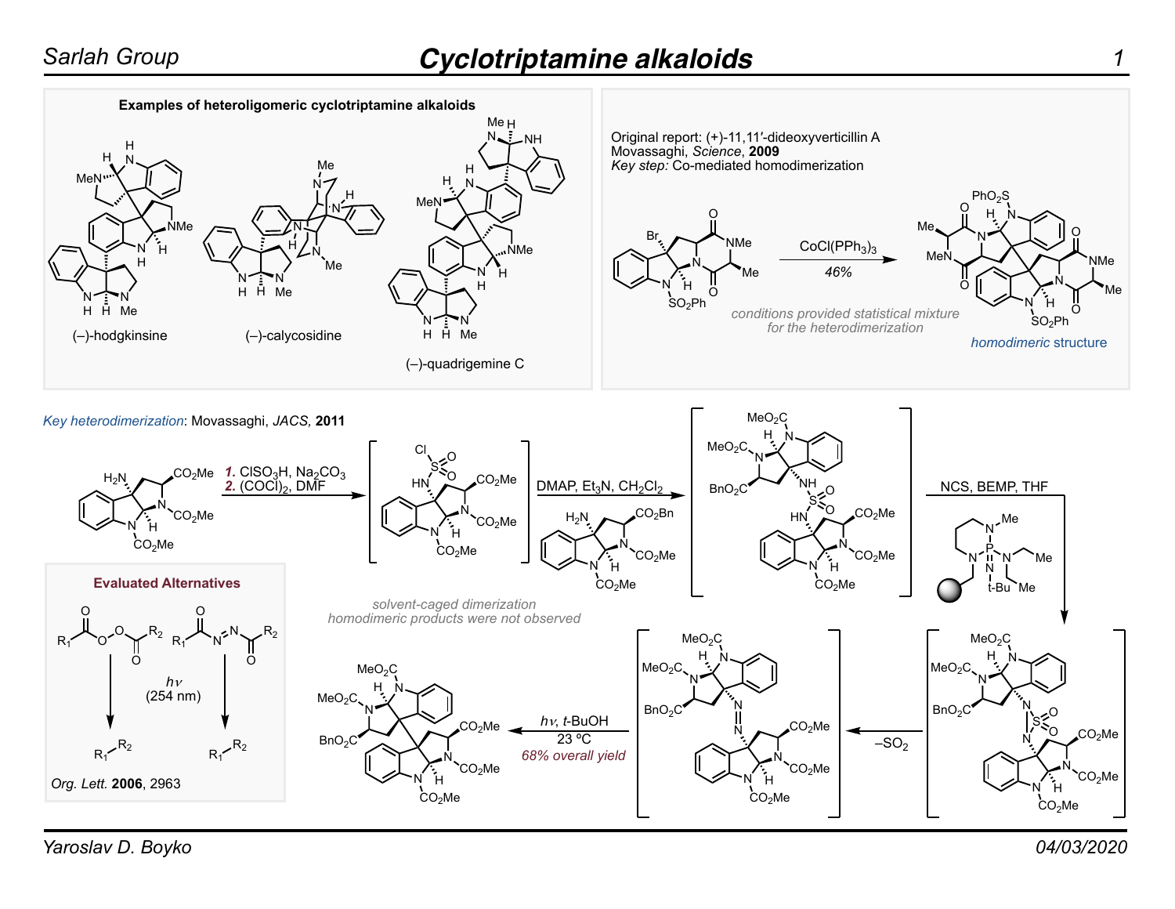

*Yaroslav D. Boyko 04/03/2020*